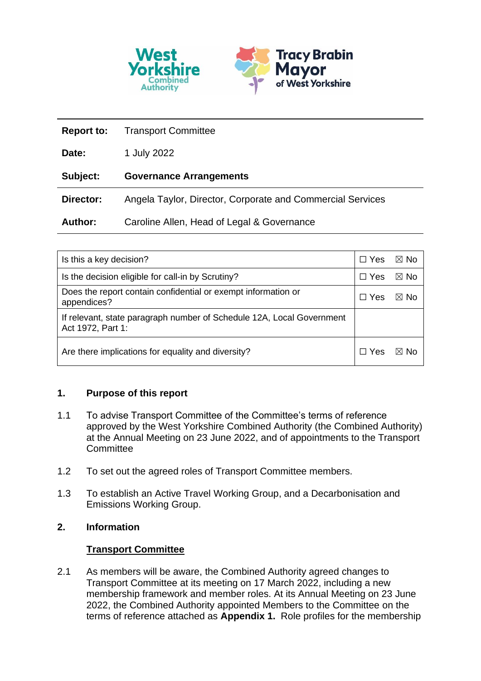

| <b>Report to:</b> | <b>Transport Committee</b>                                 |  |
|-------------------|------------------------------------------------------------|--|
| Date:             | 1 July 2022                                                |  |
| Subject:          | <b>Governance Arrangements</b>                             |  |
| Director:         | Angela Taylor, Director, Corporate and Commercial Services |  |
| <b>Author:</b>    | Caroline Allen, Head of Legal & Governance                 |  |

| Is this a key decision?                                                                    | $\Box$ Yes | ⊠ No |
|--------------------------------------------------------------------------------------------|------------|------|
| Is the decision eligible for call-in by Scrutiny?                                          | $\Box$ Yes | ⊠ No |
| Does the report contain confidential or exempt information or<br>appendices?               |            | ⊠ No |
| If relevant, state paragraph number of Schedule 12A, Local Government<br>Act 1972, Part 1: |            |      |
| Are there implications for equality and diversity?                                         |            | ⊠ No |

# **1. Purpose of this report**

- 1.1 To advise Transport Committee of the Committee's terms of reference approved by the West Yorkshire Combined Authority (the Combined Authority) at the Annual Meeting on 23 June 2022, and of appointments to the Transport **Committee**
- 1.2 To set out the agreed roles of Transport Committee members.
- 1.3 To establish an Active Travel Working Group, and a Decarbonisation and Emissions Working Group.

# **2. Information**

# **Transport Committee**

2.1 As members will be aware, the Combined Authority agreed changes to Transport Committee at its meeting on 17 March 2022, including a new membership framework and member roles. At its Annual Meeting on 23 June 2022, the Combined Authority appointed Members to the Committee on the terms of reference attached as **Appendix 1.** Role profiles for the membership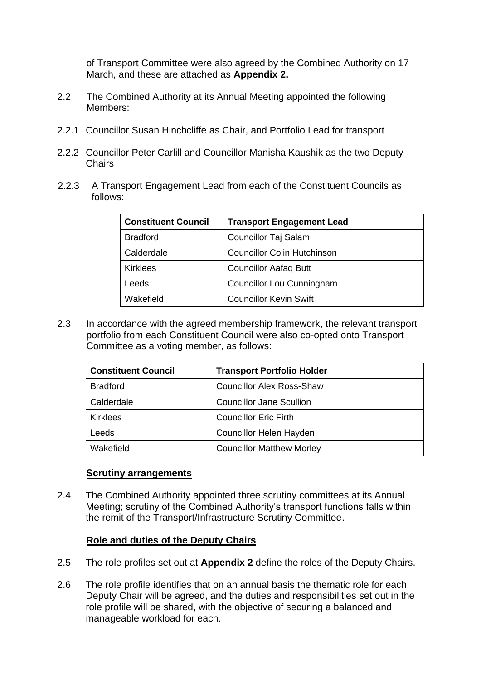of Transport Committee were also agreed by the Combined Authority on 17 March, and these are attached as **Appendix 2.**

- 2.2 The Combined Authority at its Annual Meeting appointed the following Members:
- 2.2.1 Councillor Susan Hinchcliffe as Chair, and Portfolio Lead for transport
- 2.2.2 Councillor Peter Carlill and Councillor Manisha Kaushik as the two Deputy **Chairs**
- 2.2.3 A Transport Engagement Lead from each of the Constituent Councils as follows:

| <b>Constituent Council</b> | <b>Transport Engagement Lead</b>   |
|----------------------------|------------------------------------|
| <b>Bradford</b>            | <b>Councillor Taj Salam</b>        |
| Calderdale                 | <b>Councillor Colin Hutchinson</b> |
| <b>Kirklees</b>            | <b>Councillor Aafaq Butt</b>       |
| Leeds                      | Councillor Lou Cunningham          |
| Wakefield                  | <b>Councillor Kevin Swift</b>      |

2.3 In accordance with the agreed membership framework, the relevant transport portfolio from each Constituent Council were also co-opted onto Transport Committee as a voting member, as follows:

| <b>Constituent Council</b> | <b>Transport Portfolio Holder</b> |
|----------------------------|-----------------------------------|
| <b>Bradford</b>            | <b>Councillor Alex Ross-Shaw</b>  |
| Calderdale                 | <b>Councillor Jane Scullion</b>   |
| <b>Kirklees</b>            | <b>Councillor Eric Firth</b>      |
| Leeds                      | Councillor Helen Hayden           |
| Wakefield                  | <b>Councillor Matthew Morley</b>  |

#### **Scrutiny arrangements**

2.4 The Combined Authority appointed three scrutiny committees at its Annual Meeting; scrutiny of the Combined Authority's transport functions falls within the remit of the Transport/Infrastructure Scrutiny Committee.

### **Role and duties of the Deputy Chairs**

- 2.5 The role profiles set out at **Appendix 2** define the roles of the Deputy Chairs.
- 2.6 The role profile identifies that on an annual basis the thematic role for each Deputy Chair will be agreed, and the duties and responsibilities set out in the role profile will be shared, with the objective of securing a balanced and manageable workload for each.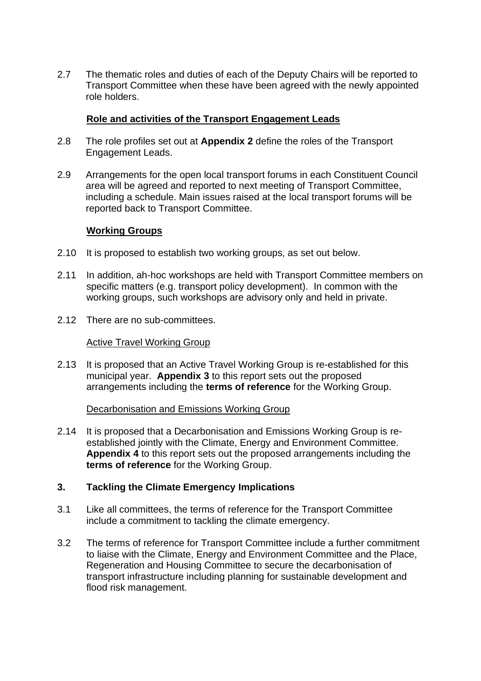2.7 The thematic roles and duties of each of the Deputy Chairs will be reported to Transport Committee when these have been agreed with the newly appointed role holders.

## **Role and activities of the Transport Engagement Leads**

- 2.8 The role profiles set out at **Appendix 2** define the roles of the Transport Engagement Leads.
- 2.9 Arrangements for the open local transport forums in each Constituent Council area will be agreed and reported to next meeting of Transport Committee, including a schedule. Main issues raised at the local transport forums will be reported back to Transport Committee.

### **Working Groups**

- 2.10 It is proposed to establish two working groups, as set out below.
- 2.11 In addition, ah-hoc workshops are held with Transport Committee members on specific matters (e.g. transport policy development). In common with the working groups, such workshops are advisory only and held in private.
- 2.12 There are no sub-committees.

#### Active Travel Working Group

2.13 It is proposed that an Active Travel Working Group is re-established for this municipal year. **Appendix 3** to this report sets out the proposed arrangements including the **terms of reference** for the Working Group.

#### Decarbonisation and Emissions Working Group

2.14 It is proposed that a Decarbonisation and Emissions Working Group is reestablished jointly with the Climate, Energy and Environment Committee. **Appendix 4** to this report sets out the proposed arrangements including the **terms of reference** for the Working Group.

### **3. Tackling the Climate Emergency Implications**

- 3.1 Like all committees, the terms of reference for the Transport Committee include a commitment to tackling the climate emergency.
- 3.2 The terms of reference for Transport Committee include a further commitment to liaise with the Climate, Energy and Environment Committee and the Place, Regeneration and Housing Committee to secure the decarbonisation of transport infrastructure including planning for sustainable development and flood risk management.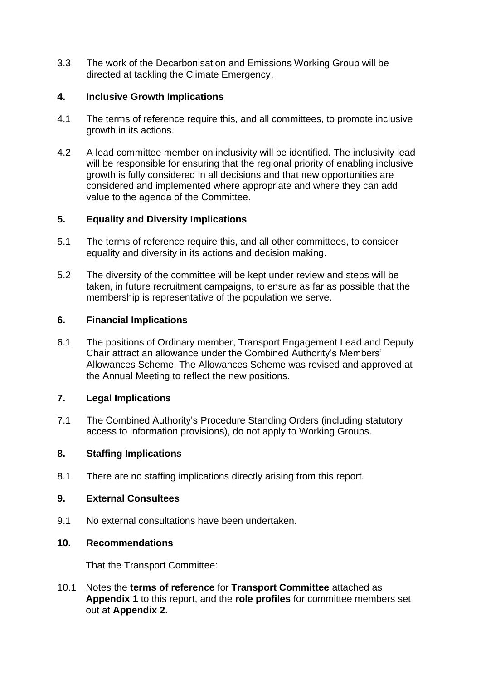3.3 The work of the Decarbonisation and Emissions Working Group will be directed at tackling the Climate Emergency.

# **4. Inclusive Growth Implications**

- 4.1 The terms of reference require this, and all committees, to promote inclusive growth in its actions.
- 4.2 A lead committee member on inclusivity will be identified. The inclusivity lead will be responsible for ensuring that the regional priority of enabling inclusive growth is fully considered in all decisions and that new opportunities are considered and implemented where appropriate and where they can add value to the agenda of the Committee.

## **5. Equality and Diversity Implications**

- 5.1 The terms of reference require this, and all other committees, to consider equality and diversity in its actions and decision making.
- 5.2 The diversity of the committee will be kept under review and steps will be taken, in future recruitment campaigns, to ensure as far as possible that the membership is representative of the population we serve.

## **6. Financial Implications**

6.1 The positions of Ordinary member, Transport Engagement Lead and Deputy Chair attract an allowance under the Combined Authority's Members' Allowances Scheme. The Allowances Scheme was revised and approved at the Annual Meeting to reflect the new positions.

# **7. Legal Implications**

7.1 The Combined Authority's Procedure Standing Orders (including statutory access to information provisions), do not apply to Working Groups.

### **8. Staffing Implications**

8.1 There are no staffing implications directly arising from this report.

### **9. External Consultees**

9.1 No external consultations have been undertaken.

### **10. Recommendations**

That the Transport Committee:

10.1 Notes the **terms of reference** for **Transport Committee** attached as **Appendix 1** to this report, and the **role profiles** for committee members set out at **Appendix 2.**